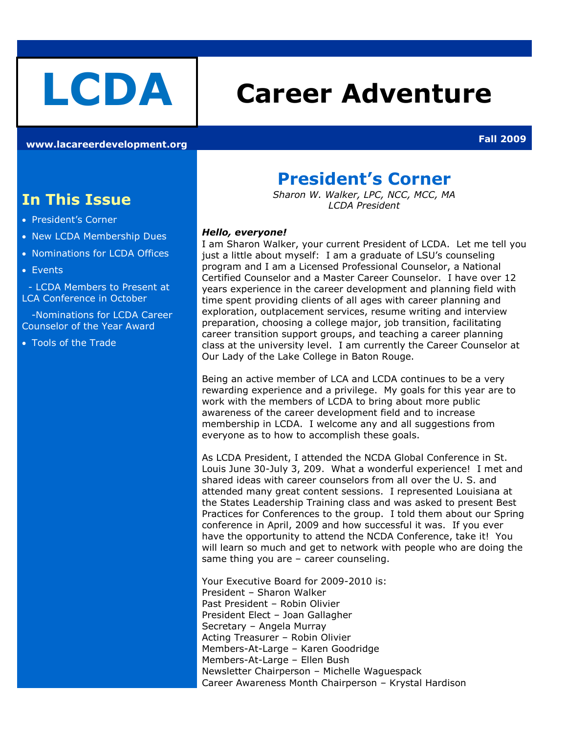# **LCDA Career Adventure**

**[www.lacareerdevelopment.org](http://www.lacareerdevelopment.org/) Fall 2009**

### **In This Issue**

- President's Corner
- New LCDA Membership Dues
- Nominations for LCDA Offices
- Events

 - LCDA Members to Present at LCA Conference in October

 -Nominations for LCDA Career Counselor of the Year Award

Tools of the Trade

### **President's Corner**

*Sharon W. Walker, LPC, NCC, MCC, MA LCDA President*

#### *Hello, everyone!*

I am Sharon Walker, your current President of LCDA. Let me tell you just a little about myself: I am a graduate of LSU's counseling program and I am a Licensed Professional Counselor, a National Certified Counselor and a Master Career Counselor. I have over 12 years experience in the career development and planning field with time spent providing clients of all ages with career planning and exploration, outplacement services, resume writing and interview preparation, choosing a college major, job transition, facilitating career transition support groups, and teaching a career planning class at the university level. I am currently the Career Counselor at Our Lady of the Lake College in Baton Rouge.

Being an active member of LCA and LCDA continues to be a very rewarding experience and a privilege. My goals for this year are to work with the members of LCDA to bring about more public awareness of the career development field and to increase membership in LCDA. I welcome any and all suggestions from everyone as to how to accomplish these goals.

As LCDA President, I attended the NCDA Global Conference in St. Louis June 30-July 3, 209. What a wonderful experience! I met and shared ideas with career counselors from all over the U. S. and attended many great content sessions. I represented Louisiana at the States Leadership Training class and was asked to present Best Practices for Conferences to the group. I told them about our Spring conference in April, 2009 and how successful it was. If you ever have the opportunity to attend the NCDA Conference, take it! You will learn so much and get to network with people who are doing the same thing you are – career counseling.

Your Executive Board for 2009-2010 is: President – Sharon Walker Past President – Robin Olivier President Elect – Joan Gallagher Secretary – Angela Murray Acting Treasurer – Robin Olivier Members-At-Large – Karen Goodridge Members-At-Large – Ellen Bush Newsletter Chairperson – Michelle Waguespack Career Awareness Month Chairperson – Krystal Hardison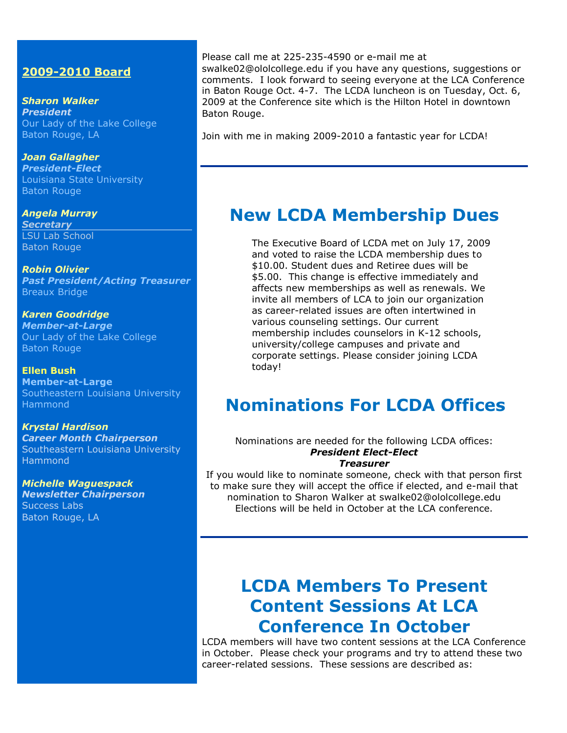### **2009-2010 Board**

*Sharon Walker President* Our Lady of the Lake College Baton Rouge, LA

*Joan Gallagher President-Elect* Louisiana State University Baton Rouge

*Angela Murray Secretary* LSU Lab School Baton Rouge

*Robin Olivier Past President/Acting Treasurer* Breaux Bridge

*Karen Goodridge Member-at-Large* Our Lady of the Lake College Baton Rouge

**Ellen Bush Member-at-Large** Southeastern Louisiana University Hammond

*Krystal Hardison Career Month Chairperson* Southeastern Louisiana University Hammond

*Michelle Waguespack Newsletter Chairperson* Success Labs Baton Rouge, LA

Please call me at 225-235-4590 or e-mail me at

[swalke02@ololcollege.edu](mailto:swalke02@ololcollege.edu) if you have any questions, suggestions or comments. I look forward to seeing everyone at the LCA Conference in Baton Rouge Oct. 4-7. The LCDA luncheon is on Tuesday, Oct. 6, 2009 at the Conference site which is the Hilton Hotel in downtown Baton Rouge.

Join with me in making 2009-2010 a fantastic year for LCDA!

### **New LCDA Membership Dues**

The Executive Board of LCDA met on July 17, 2009 and voted to raise the LCDA membership dues to \$10.00. Student dues and Retiree dues will be \$5.00. This change is effective immediately and affects new memberships as well as renewals. We invite all members of LCA to join our organization as career-related issues are often intertwined in various counseling settings. Our current membership includes counselors in K-12 schools, university/college campuses and private and corporate settings. Please consider joining LCDA today!

### **Nominations For LCDA Offices**

Nominations are needed for the following LCDA offices: *President Elect-Elect*

*Treasurer*

If you would like to nominate someone, check with that person first to make sure they will accept the office if elected, and e-mail that nomination to Sharon Walker at [swalke02@ololcollege.edu](mailto:swalke02@ololcollege.edu) Elections will be held in October at the LCA conference.

### **LCDA Members To Present Content Sessions At LCA Conference In October**

LCDA members will have two content sessions at the LCA Conference in October. Please check your programs and try to attend these two career-related sessions. These sessions are described as: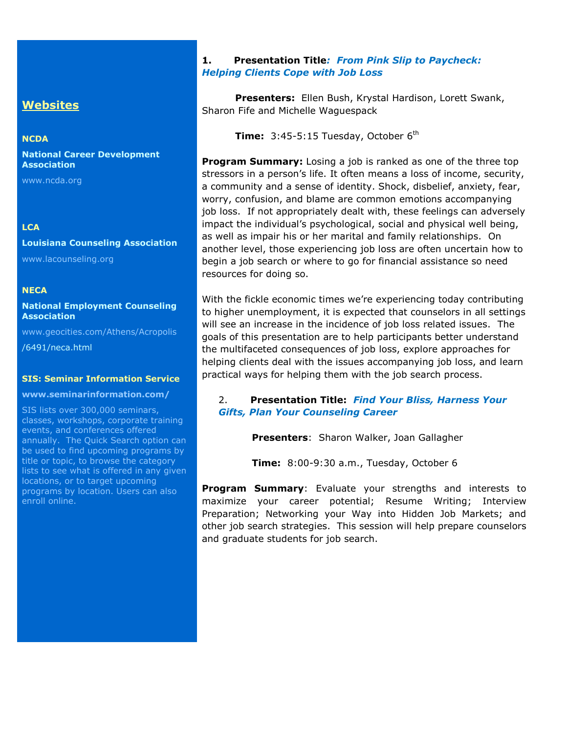### **Websites**

#### **NCDA**

**National Career Development Association**

[www.ncda.org](http://www.ncda.org/)

### **LCA**

### **Louisiana Counseling Association**

[www.lacounseling.org](http://www.lacounseling.org/)

#### **NECA**

**National Employment Counseling Association**

[www.geocities.com/Athens/Acropolis](http://www.geocities.com/Athens/Acropolis)

/6491/neca.html

#### **[SIS: Seminar Information Service](http://209.235.208.145/cgi-bin/WebSuite/tcsAssnWebSuite.pl?Action=FollowLinkItem&RecordID=225&AssnID=NCDA&DBCode=130285)**

#### **www.seminarinformation.com/**

SIS lists over 300,000 seminars, classes, workshops, corporate training events, and conferences offered annually. The Quick Search option can be used to find upcoming programs by title or topic, to browse the category lists to see what is offered in any given locations, or to target upcoming programs by location. Users can also enroll online.

### **1. Presentation Title***: From Pink Slip to Paycheck: Helping Clients Cope with Job Loss*

**Presenters:** Ellen Bush, Krystal Hardison, Lorett Swank, Sharon Fife and Michelle Waguespack

**Time:** 3:45-5:15 Tuesday, October  $6<sup>th</sup>$ 

**Program Summary:** Losing a job is ranked as one of the three top stressors in a person's life. It often means a loss of income, security, a community and a sense of identity. Shock, disbelief, anxiety, fear, worry, confusion, and blame are common emotions accompanying job loss. If not appropriately dealt with, these feelings can adversely impact the individual's psychological, social and physical well being, as well as impair his or her marital and family relationships. On another level, those experiencing job loss are often uncertain how to begin a job search or where to go for financial assistance so need resources for doing so.

With the fickle economic times we're experiencing today contributing to higher unemployment, it is expected that counselors in all settings will see an increase in the incidence of job loss related issues. The goals of this presentation are to help participants better understand the multifaceted consequences of job loss, explore approaches for helping clients deal with the issues accompanying job loss, and learn practical ways for helping them with the job search process.

#### 2. **Presentation Title:** *Find Your Bliss, Harness Your Gifts, Plan Your Counseling Career*

**Presenters**: Sharon Walker, Joan Gallagher

**Time:** 8:00-9:30 a.m., Tuesday, October 6

**Program Summary**: Evaluate your strengths and interests to maximize your career potential; Resume Writing; Interview Preparation; Networking your Way into Hidden Job Markets; and other job search strategies. This session will help prepare counselors and graduate students for job search.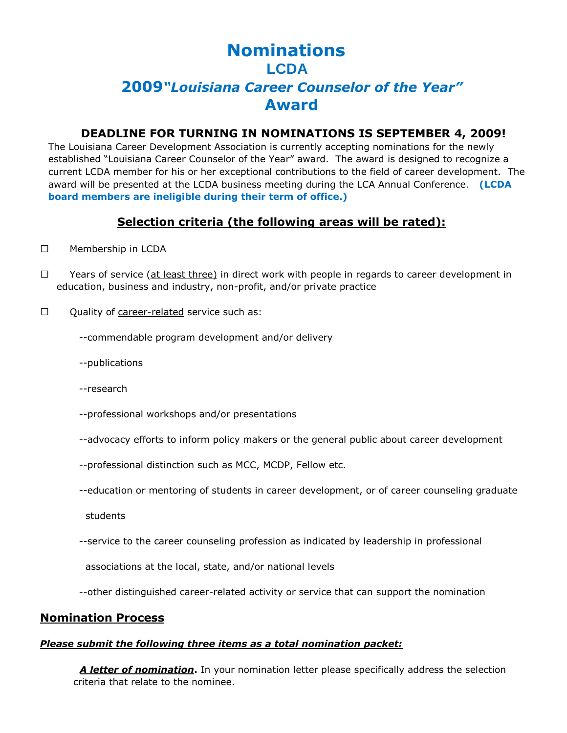### **Nominations LCDA 2009***"Louisiana Career Counselor of the Year"* **Award**

### **DEADLINE FOR TURNING IN NOMINATIONS IS SEPTEMBER 4, 2009!**

The Louisiana Career Development Association is currently accepting nominations for the newly established "Louisiana Career Counselor of the Year" award. The award is designed to recognize a current LCDA member for his or her exceptional contributions to the field of career development. The award will be presented at the LCDA business meeting during the LCA Annual Conference. **(LCDA board members are ineligible during their term of office.)** 

### **Selection criteria (the following areas will be rated):**

#### □ Membership in LCDA

 $\Box$  Years of service (at least three) in direct work with people in regards to career development in education, business and industry, non-profit, and/or private practice

 $\Box$  Quality of career-related service such as:

--commendable program development and/or delivery

--publications

--research

--professional workshops and/or presentations

--advocacy efforts to inform policy makers or the general public about career development

--professional distinction such as MCC, MCDP, Fellow etc.

--education or mentoring of students in career development, or of career counseling graduate

students

--service to the career counseling profession as indicated by leadership in professional

associations at the local, state, and/or national levels

--other distinguished career-related activity or service that can support the nomination

### **Nomination Process**

### *Please submit the following three items as a total nomination packet:*

*A letter of nomination***.** In your nomination letter please specifically address the selection criteria that relate to the nominee.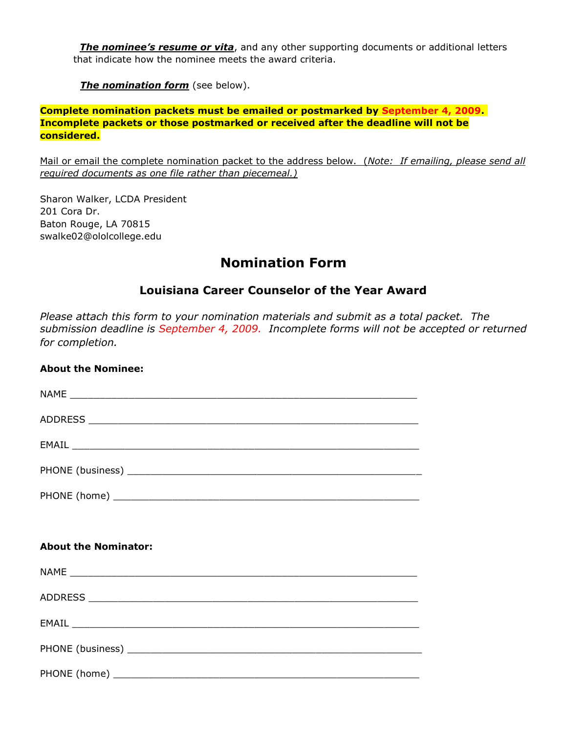*The nominee's resume or vita*, and any other supporting documents or additional letters that indicate how the nominee meets the award criteria.

*The nomination form* (see below).

### **Complete nomination packets must be emailed or postmarked by September 4, 2009. Incomplete packets or those postmarked or received after the deadline will not be considered.**

Mail or email the complete nomination packet to the address below. (*Note: If emailing, please send all required documents as one file rather than piecemeal.)*

Sharon Walker, LCDA President 201 Cora Dr. Baton Rouge, LA 70815 swalke02@ololcollege.edu

### **Nomination Form**

### **Louisiana Career Counselor of the Year Award**

*Please attach this form to your nomination materials and submit as a total packet. The submission deadline is September 4, 2009. Incomplete forms will not be accepted or returned for completion.*

### **About the Nominee:**

| $EMAIL \begin{tabular}{l} \hline \multicolumn{3}{c}{} & \multicolumn{3}{c}{} & \multicolumn{3}{c}{} \\ \multicolumn{3}{c}{} & \multicolumn{3}{c}{} & \multicolumn{3}{c}{} \\ \multicolumn{3}{c}{} & \multicolumn{3}{c}{} & \multicolumn{3}{c}{} \\ \multicolumn{3}{c}{} & \multicolumn{3}{c}{} & \multicolumn{3}{c}{} \\ \multicolumn{3}{c}{} & \multicolumn{3}{c}{} & \multicolumn{3}{c}{} \\ \multicolumn{3}{c}{} & \multicolumn{3}{c}{} & \multicolumn{3}{c}{} \\ \multicolumn{3}{c}$  |
|-------------------------------------------------------------------------------------------------------------------------------------------------------------------------------------------------------------------------------------------------------------------------------------------------------------------------------------------------------------------------------------------------------------------------------------------------------------------------------------------|
|                                                                                                                                                                                                                                                                                                                                                                                                                                                                                           |
| PHONE (home) <b>Example 2</b> and 2 and 2 and 2 and 2 and 2 and 2 and 2 and 2 and 2 and 2 and 2 and 2 and 2 and 2 and 2 and 2 and 2 and 2 and 2 and 2 and 2 and 2 and 2 and 2 and 2 and 2 and 2 and 2 and 2 and 2 and 2 and 2 and 2                                                                                                                                                                                                                                                       |
|                                                                                                                                                                                                                                                                                                                                                                                                                                                                                           |
|                                                                                                                                                                                                                                                                                                                                                                                                                                                                                           |
| <b>About the Nominator:</b>                                                                                                                                                                                                                                                                                                                                                                                                                                                               |
|                                                                                                                                                                                                                                                                                                                                                                                                                                                                                           |
|                                                                                                                                                                                                                                                                                                                                                                                                                                                                                           |
| $EMAIL \begin{tabular}{l} \hline \multicolumn{3}{c}{} & \multicolumn{3}{c}{} & \multicolumn{3}{c}{} \\ \hline \multicolumn{3}{c}{} & \multicolumn{3}{c}{} & \multicolumn{3}{c}{} & \multicolumn{3}{c}{} \\ \multicolumn{3}{c}{} & \multicolumn{3}{c}{} & \multicolumn{3}{c}{} & \multicolumn{3}{c}{} \\ \multicolumn{3}{c}{} & \multicolumn{3}{c}{} & \multicolumn{3}{c}{} & \multicolumn{3}{c}{} \\ \multicolumn{3}{c}{} & \multicolumn{3}{c}{} & \multicolumn{3}{c}{} & \multicolumn{3$ |
|                                                                                                                                                                                                                                                                                                                                                                                                                                                                                           |